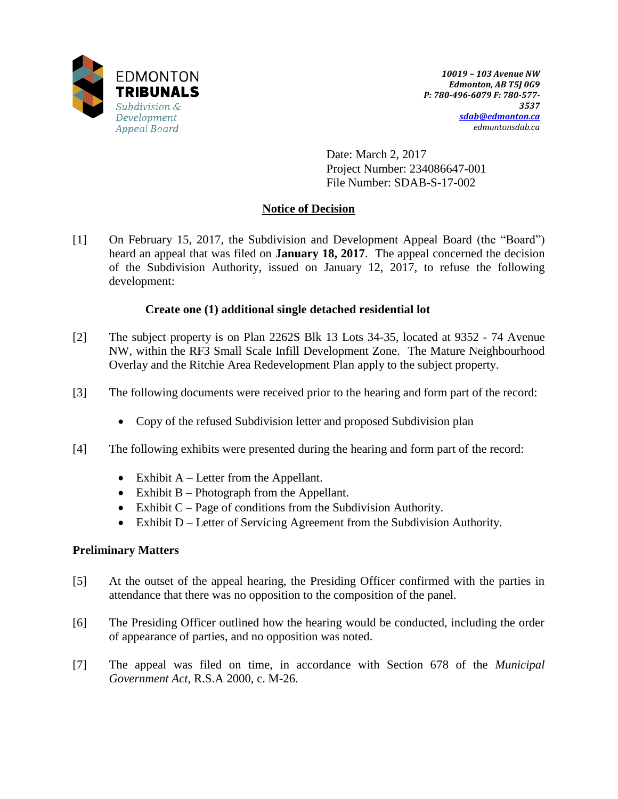

Date: March 2, 2017 Project Number: 234086647-001 File Number: SDAB-S-17-002

## **Notice of Decision**

[1] On February 15, 2017, the Subdivision and Development Appeal Board (the "Board") heard an appeal that was filed on **January 18, 2017**. The appeal concerned the decision of the Subdivision Authority, issued on January 12, 2017, to refuse the following development:

## **Create one (1) additional single detached residential lot**

- [2] The subject property is on Plan 2262S Blk 13 Lots 34-35, located at 9352 74 Avenue NW, within the RF3 Small Scale Infill Development Zone. The Mature Neighbourhood Overlay and the Ritchie Area Redevelopment Plan apply to the subject property.
- [3] The following documents were received prior to the hearing and form part of the record:
	- Copy of the refused Subdivision letter and proposed Subdivision plan
- [4] The following exhibits were presented during the hearing and form part of the record:
	- Exhibit  $A -$  Letter from the Appellant.
	- Exhibit B Photograph from the Appellant.
	- Exhibit  $C Page$  of conditions from the Subdivision Authority.
	- Exhibit D Letter of Servicing Agreement from the Subdivision Authority.

## **Preliminary Matters**

- [5] At the outset of the appeal hearing, the Presiding Officer confirmed with the parties in attendance that there was no opposition to the composition of the panel.
- [6] The Presiding Officer outlined how the hearing would be conducted, including the order of appearance of parties, and no opposition was noted.
- [7] The appeal was filed on time, in accordance with Section 678 of the *Municipal Government Act*, R.S.A 2000, c. M-26.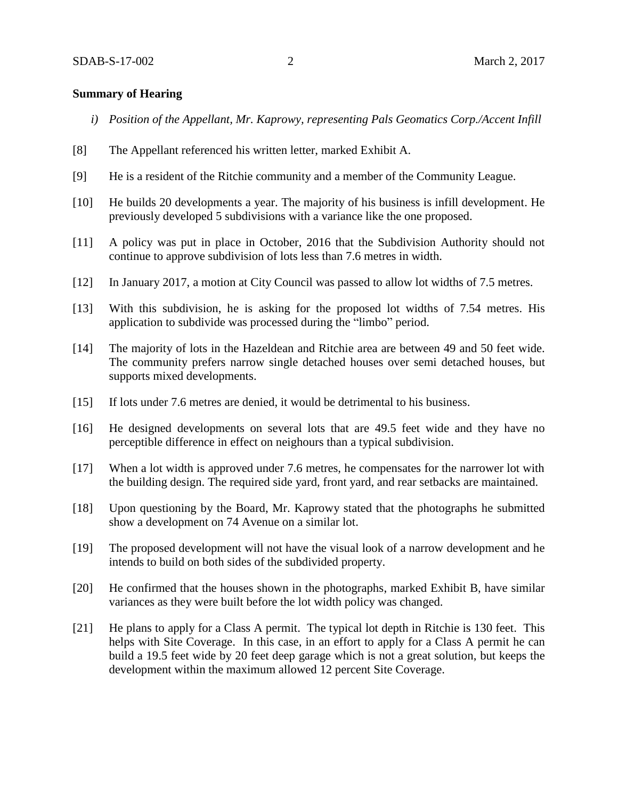### **Summary of Hearing**

- *i) Position of the Appellant, Mr. Kaprowy, representing Pals Geomatics Corp./Accent Infill*
- [8] The Appellant referenced his written letter, marked Exhibit A.
- [9] He is a resident of the Ritchie community and a member of the Community League.
- [10] He builds 20 developments a year. The majority of his business is infill development. He previously developed 5 subdivisions with a variance like the one proposed.
- [11] A policy was put in place in October, 2016 that the Subdivision Authority should not continue to approve subdivision of lots less than 7.6 metres in width.
- [12] In January 2017, a motion at City Council was passed to allow lot widths of 7.5 metres.
- [13] With this subdivision, he is asking for the proposed lot widths of 7.54 metres. His application to subdivide was processed during the "limbo" period.
- [14] The majority of lots in the Hazeldean and Ritchie area are between 49 and 50 feet wide. The community prefers narrow single detached houses over semi detached houses, but supports mixed developments.
- [15] If lots under 7.6 metres are denied, it would be detrimental to his business.
- [16] He designed developments on several lots that are 49.5 feet wide and they have no perceptible difference in effect on neighours than a typical subdivision.
- [17] When a lot width is approved under 7.6 metres, he compensates for the narrower lot with the building design. The required side yard, front yard, and rear setbacks are maintained.
- [18] Upon questioning by the Board, Mr. Kaprowy stated that the photographs he submitted show a development on 74 Avenue on a similar lot.
- [19] The proposed development will not have the visual look of a narrow development and he intends to build on both sides of the subdivided property.
- [20] He confirmed that the houses shown in the photographs, marked Exhibit B, have similar variances as they were built before the lot width policy was changed.
- [21] He plans to apply for a Class A permit. The typical lot depth in Ritchie is 130 feet. This helps with Site Coverage. In this case, in an effort to apply for a Class A permit he can build a 19.5 feet wide by 20 feet deep garage which is not a great solution, but keeps the development within the maximum allowed 12 percent Site Coverage.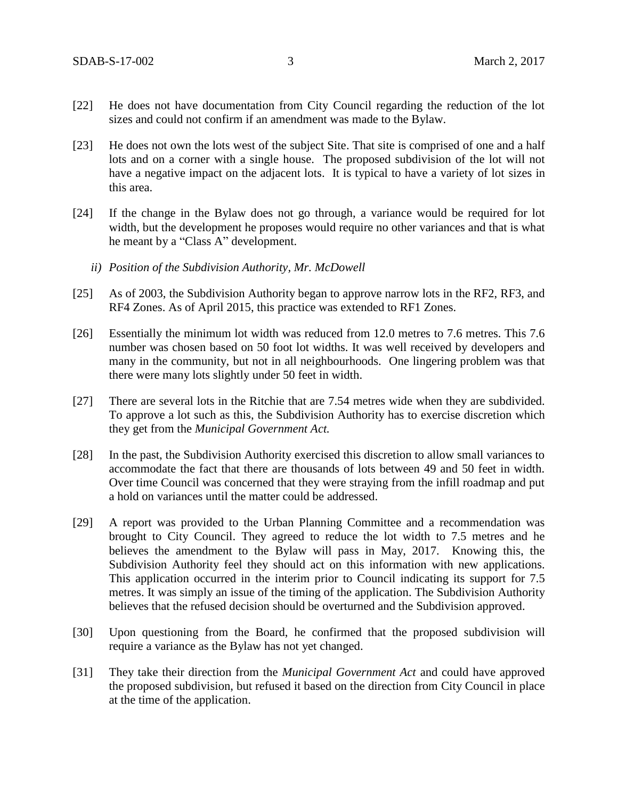- [22] He does not have documentation from City Council regarding the reduction of the lot sizes and could not confirm if an amendment was made to the Bylaw.
- [23] He does not own the lots west of the subject Site. That site is comprised of one and a half lots and on a corner with a single house. The proposed subdivision of the lot will not have a negative impact on the adjacent lots. It is typical to have a variety of lot sizes in this area.
- [24] If the change in the Bylaw does not go through, a variance would be required for lot width, but the development he proposes would require no other variances and that is what he meant by a "Class A" development.
	- *ii) Position of the Subdivision Authority, Mr. McDowell*
- [25] As of 2003, the Subdivision Authority began to approve narrow lots in the RF2, RF3, and RF4 Zones. As of April 2015, this practice was extended to RF1 Zones.
- [26] Essentially the minimum lot width was reduced from 12.0 metres to 7.6 metres. This 7.6 number was chosen based on 50 foot lot widths. It was well received by developers and many in the community, but not in all neighbourhoods. One lingering problem was that there were many lots slightly under 50 feet in width.
- [27] There are several lots in the Ritchie that are 7.54 metres wide when they are subdivided. To approve a lot such as this, the Subdivision Authority has to exercise discretion which they get from the *Municipal Government Act.*
- [28] In the past, the Subdivision Authority exercised this discretion to allow small variances to accommodate the fact that there are thousands of lots between 49 and 50 feet in width. Over time Council was concerned that they were straying from the infill roadmap and put a hold on variances until the matter could be addressed.
- [29] A report was provided to the Urban Planning Committee and a recommendation was brought to City Council. They agreed to reduce the lot width to 7.5 metres and he believes the amendment to the Bylaw will pass in May, 2017. Knowing this, the Subdivision Authority feel they should act on this information with new applications. This application occurred in the interim prior to Council indicating its support for 7.5 metres. It was simply an issue of the timing of the application. The Subdivision Authority believes that the refused decision should be overturned and the Subdivision approved.
- [30] Upon questioning from the Board, he confirmed that the proposed subdivision will require a variance as the Bylaw has not yet changed.
- [31] They take their direction from the *Municipal Government Act* and could have approved the proposed subdivision, but refused it based on the direction from City Council in place at the time of the application.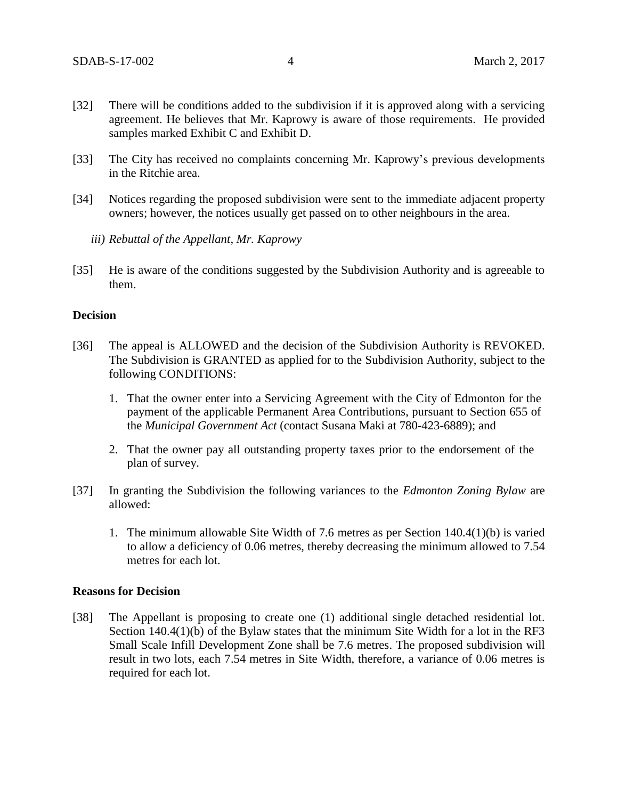- [32] There will be conditions added to the subdivision if it is approved along with a servicing agreement. He believes that Mr. Kaprowy is aware of those requirements. He provided samples marked Exhibit C and Exhibit D.
- [33] The City has received no complaints concerning Mr. Kaprowy's previous developments in the Ritchie area.
- [34] Notices regarding the proposed subdivision were sent to the immediate adjacent property owners; however, the notices usually get passed on to other neighbours in the area.
	- *iii) Rebuttal of the Appellant, Mr. Kaprowy*
- [35] He is aware of the conditions suggested by the Subdivision Authority and is agreeable to them.

### **Decision**

- [36] The appeal is ALLOWED and the decision of the Subdivision Authority is REVOKED. The Subdivision is GRANTED as applied for to the Subdivision Authority, subject to the following CONDITIONS:
	- 1. That the owner enter into a Servicing Agreement with the City of Edmonton for the payment of the applicable Permanent Area Contributions, pursuant to Section 655 of the *Municipal Government Act* (contact Susana Maki at 780-423-6889); and
	- 2. That the owner pay all outstanding property taxes prior to the endorsement of the plan of survey.
- [37] In granting the Subdivision the following variances to the *Edmonton Zoning Bylaw* are allowed:
	- 1. The minimum allowable Site Width of 7.6 metres as per Section 140.4(1)(b) is varied to allow a deficiency of 0.06 metres, thereby decreasing the minimum allowed to 7.54 metres for each lot.

#### **Reasons for Decision**

[38] The Appellant is proposing to create one (1) additional single detached residential lot. Section 140.4(1)(b) of the Bylaw states that the minimum Site Width for a lot in the RF3 Small Scale Infill Development Zone shall be 7.6 metres. The proposed subdivision will result in two lots, each 7.54 metres in Site Width, therefore, a variance of 0.06 metres is required for each lot.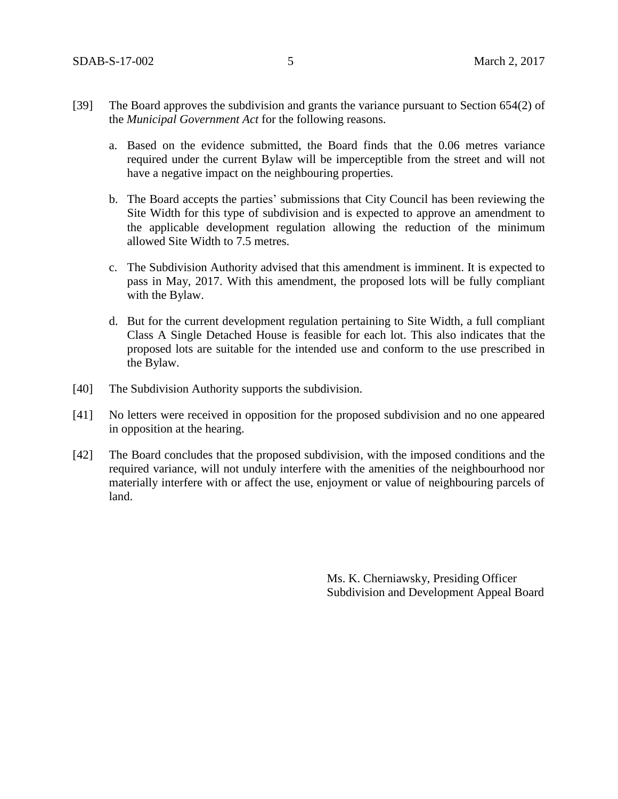- [39] The Board approves the subdivision and grants the variance pursuant to Section 654(2) of the *Municipal Government Act* for the following reasons.
	- a. Based on the evidence submitted, the Board finds that the 0.06 metres variance required under the current Bylaw will be imperceptible from the street and will not have a negative impact on the neighbouring properties.
	- b. The Board accepts the parties' submissions that City Council has been reviewing the Site Width for this type of subdivision and is expected to approve an amendment to the applicable development regulation allowing the reduction of the minimum allowed Site Width to 7.5 metres.
	- c. The Subdivision Authority advised that this amendment is imminent. It is expected to pass in May, 2017. With this amendment, the proposed lots will be fully compliant with the Bylaw.
	- d. But for the current development regulation pertaining to Site Width, a full compliant Class A Single Detached House is feasible for each lot. This also indicates that the proposed lots are suitable for the intended use and conform to the use prescribed in the Bylaw.
- [40] The Subdivision Authority supports the subdivision.
- [41] No letters were received in opposition for the proposed subdivision and no one appeared in opposition at the hearing.
- [42] The Board concludes that the proposed subdivision, with the imposed conditions and the required variance, will not unduly interfere with the amenities of the neighbourhood nor materially interfere with or affect the use, enjoyment or value of neighbouring parcels of land.

Ms. K. Cherniawsky, Presiding Officer Subdivision and Development Appeal Board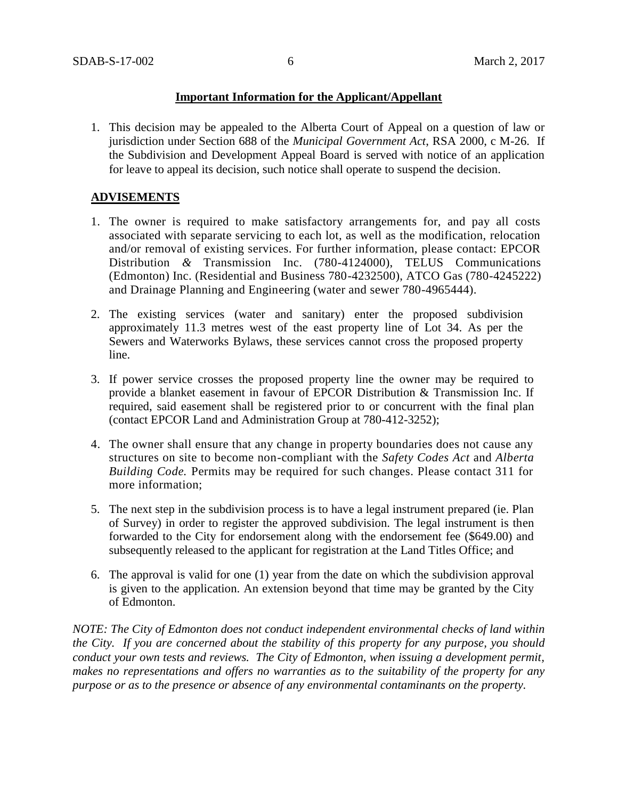## **Important Information for the Applicant/Appellant**

1. This decision may be appealed to the Alberta Court of Appeal on a question of law or jurisdiction under Section 688 of the *Municipal Government Act*, RSA 2000, c M-26. If the Subdivision and Development Appeal Board is served with notice of an application for leave to appeal its decision, such notice shall operate to suspend the decision.

## **ADVISEMENTS**

- 1. The owner is required to make satisfactory arrangements for, and pay all costs associated with separate servicing to each lot, as well as the modification, relocation and/or removal of existing services. For further information, please contact: EPCOR Distribution *&* Transmission Inc. (780-4124000), TELUS Communications (Edmonton) Inc. (Residential and Business 780-4232500), ATCO Gas (780-4245222) and Drainage Planning and Engineering (water and sewer 780-4965444).
- 2. The existing services (water and sanitary) enter the proposed subdivision approximately 11.3 metres west of the east property line of Lot 34. As per the Sewers and Waterworks Bylaws, these services cannot cross the proposed property line.
- 3. If power service crosses the proposed property line the owner may be required to provide a blanket easement in favour of EPCOR Distribution & Transmission Inc. If required, said easement shall be registered prior to or concurrent with the final plan (contact EPCOR Land and Administration Group at 780-412-3252);
- 4. The owner shall ensure that any change in property boundaries does not cause any structures on site to become non-compliant with the *Safety Codes Act* and *Alberta Building Code.* Permits may be required for such changes. Please contact 311 for more information;
- 5. The next step in the subdivision process is to have a legal instrument prepared (ie. Plan of Survey) in order to register the approved subdivision. The legal instrument is then forwarded to the City for endorsement along with the endorsement fee (\$649.00) and subsequently released to the applicant for registration at the Land Titles Office; and
- 6. The approval is valid for one (1) year from the date on which the subdivision approval is given to the application. An extension beyond that time may be granted by the City of Edmonton.

*NOTE: The City of Edmonton does not conduct independent environmental checks of land within the City. If you are concerned about the stability of this property for any purpose, you should conduct your own tests and reviews. The City of Edmonton, when issuing a development permit, makes no representations and offers no warranties as to the suitability of the property for any purpose or as to the presence or absence of any environmental contaminants on the property.*